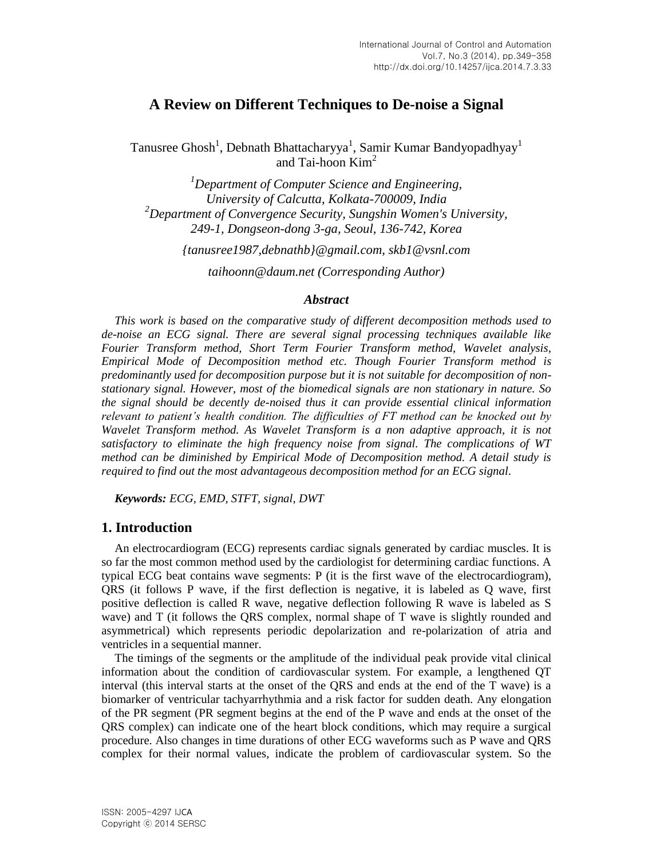# **A Review on Different Techniques to De-noise a Signal**

Tanusree Ghosh<sup>1</sup>, Debnath Bhattacharyya<sup>1</sup>, Samir Kumar Bandyopadhyay<sup>1</sup> and Tai-hoon  $Kim<sup>2</sup>$ 

*<sup>1</sup>Department of Computer Science and Engineering, University of Calcutta, Kolkata-700009, India <sup>2</sup>Department of Convergence Security, Sungshin Women's University, 249-1, Dongseon-dong 3-ga, Seoul, 136-742, Korea*

*{tanusree1987,debnathb}@gmail.com, skb1@vsnl.com*

*taihoonn@daum.net (Corresponding Author)*

#### *Abstract*

*This work is based on the comparative study of different decomposition methods used to de-noise an ECG signal. There are several signal processing techniques available like Fourier Transform method, Short Term Fourier Transform method, Wavelet analysis, Empirical Mode of Decomposition method etc. Though Fourier Transform method is predominantly used for decomposition purpose but it is not suitable for decomposition of nonstationary signal. However, most of the biomedical signals are non stationary in nature. So the signal should be decently de-noised thus it can provide essential clinical information relevant to patient's health condition. The difficulties of FT method can be knocked out by Wavelet Transform method. As Wavelet Transform is a non adaptive approach, it is not satisfactory to eliminate the high frequency noise from signal. The complications of WT method can be diminished by Empirical Mode of Decomposition method. A detail study is required to find out the most advantageous decomposition method for an ECG signal.*

*Keywords: ECG, EMD, STFT, signal, DWT*

### **1. Introduction**

An electrocardiogram (ECG) represents cardiac signals generated by cardiac muscles. It is so far the most common method used by the cardiologist for determining cardiac functions. A typical ECG beat contains wave segments: P (it is the first wave of the electrocardiogram), QRS (it follows P wave, if the first deflection is negative, it is labeled as Q wave, first positive deflection is called R wave, negative deflection following R wave is labeled as S wave) and T (it follows the QRS complex, normal shape of T wave is slightly rounded and asymmetrical) which represents periodic depolarization and re-polarization of atria and ventricles in a sequential manner.

The timings of the segments or the amplitude of the individual peak provide vital clinical information about the condition of cardiovascular system. For example, a lengthened QT interval (this interval starts at the onset of the QRS and ends at the end of the T wave) is a biomarker of ventricular tachyarrhythmia and a risk factor for sudden death. Any elongation of the PR segment (PR segment begins at the end of the P wave and ends at the onset of the QRS complex) can indicate one of the heart block conditions, which may require a surgical procedure. Also changes in time durations of other ECG waveforms such as P wave and QRS complex for their normal values, indicate the problem of cardiovascular system. So the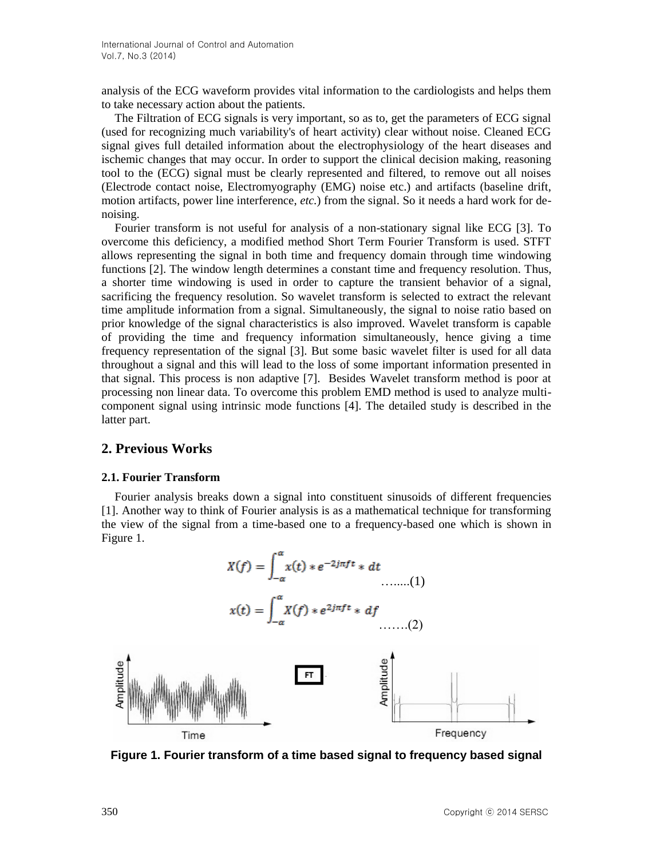analysis of the ECG waveform provides vital information to the cardiologists and helps them to take necessary action about the patients.

The Filtration of ECG signals is very important, so as to, get the parameters of ECG signal (used for recognizing much variability's of heart activity) clear without noise. Cleaned ECG signal gives full detailed information about the electrophysiology of the heart diseases and ischemic changes that may occur. In order to support the clinical decision making, reasoning tool to the (ECG) signal must be clearly represented and filtered, to remove out all noises (Electrode contact noise, Electromyography (EMG) noise etc.) and artifacts (baseline drift, motion artifacts, power line interference, *etc.*) from the signal. So it needs a hard work for denoising.

Fourier transform is not useful for analysis of a non-stationary signal like ECG [3]. To overcome this deficiency, a modified method Short Term Fourier Transform is used. STFT allows representing the signal in both time and frequency domain through time windowing functions [2]. The window length determines a constant time and frequency resolution. Thus, a shorter time windowing is used in order to capture the transient behavior of a signal, sacrificing the frequency resolution. So wavelet transform is selected to extract the relevant time amplitude information from a signal. Simultaneously, the signal to noise ratio based on prior knowledge of the signal characteristics is also improved. Wavelet transform is capable of providing the time and frequency information simultaneously, hence giving a time frequency representation of the signal [3]. But some basic wavelet filter is used for all data throughout a signal and this will lead to the loss of some important information presented in that signal. This process is non adaptive [7]. Besides Wavelet transform method is poor at processing non linear data. To overcome this problem EMD method is used to analyze multicomponent signal using intrinsic mode functions [4]. The detailed study is described in the latter part.

### **2. Previous Works**

#### **2.1. Fourier Transform**

Fourier analysis breaks down a signal into constituent sinusoids of different frequencies [1]. Another way to think of Fourier analysis is as a mathematical technique for transforming the view of the signal from a time-based one to a frequency-based one which is shown in Figure 1.



**Figure 1. Fourier transform of a time based signal to frequency based signal**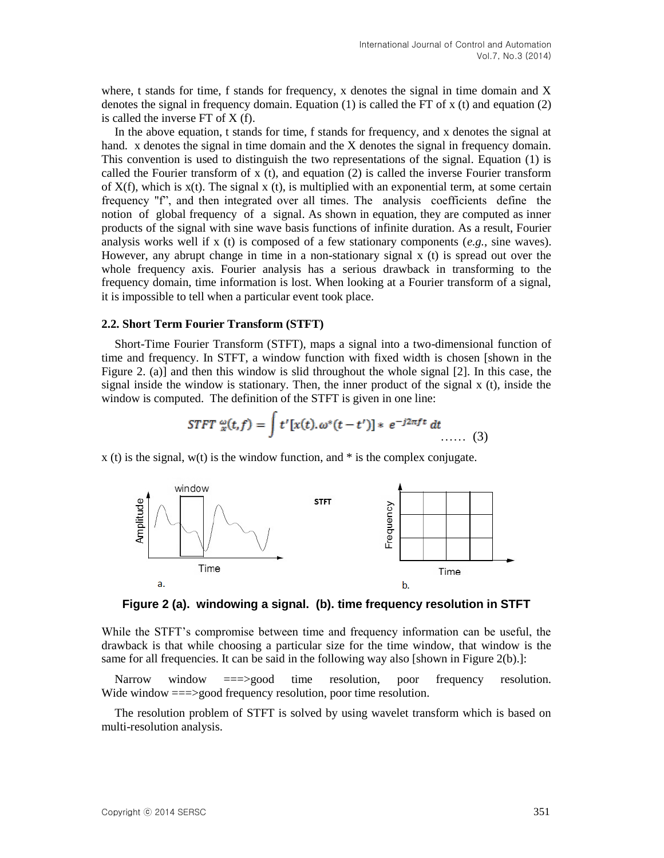where, t stands for time, f stands for frequency, x denotes the signal in time domain and  $X$ denotes the signal in frequency domain. Equation (1) is called the FT of x (t) and equation (2) is called the inverse FT of X (f).

In the above equation, t stands for time, f stands for frequency, and x denotes the signal at hand. x denotes the signal in time domain and the X denotes the signal in frequency domain. This convention is used to distinguish the two representations of the signal. Equation (1) is called the Fourier transform of x (t), and equation (2) is called the inverse Fourier transform of  $X(f)$ , which is  $x(t)$ . The signal x (t), is multiplied with an exponential term, at some certain frequency "f", and then integrated over all times. The analysis coefficients define the notion of global frequency of a signal. As shown in equation, they are computed as inner products of the signal with sine wave basis functions of infinite duration. As a result, Fourier analysis works well if x (t) is composed of a few stationary components (*e.g.*, sine waves). However, any abrupt change in time in a non-stationary signal x (t) is spread out over the whole frequency axis. Fourier analysis has a serious drawback in transforming to the frequency domain, time information is lost. When looking at a Fourier transform of a signal, it is impossible to tell when a particular event took place.

#### **2.2. Short Term Fourier Transform (STFT)**

Short-Time Fourier Transform (STFT), maps a signal into a two-dimensional function of time and frequency. In STFT, a window function with fixed width is chosen [shown in the Figure 2. (a)] and then this window is slid throughout the whole signal [2]. In this case, the signal inside the window is stationary. Then, the inner product of the signal x (t), inside the window is computed. The definition of the STFT is given in one line:

$$
STFT \; \omega(t,f) = \int t'[x(t).\omega^*(t-t')] * e^{-j2\pi ft} \; dt \qquad (3)
$$

 $x(t)$  is the signal,  $w(t)$  is the window function, and  $*$  is the complex conjugate.



**Figure 2 (a). windowing a signal. (b). time frequency resolution in STFT**

While the STFT's compromise between time and frequency information can be useful, the drawback is that while choosing a particular size for the time window, that window is the same for all frequencies. It can be said in the following way also [shown in Figure 2(b).]:

Narrow window ===>good time resolution, poor frequency resolution. Wide window ===>good frequency resolution, poor time resolution.

The resolution problem of STFT is solved by using wavelet transform which is based on multi-resolution analysis.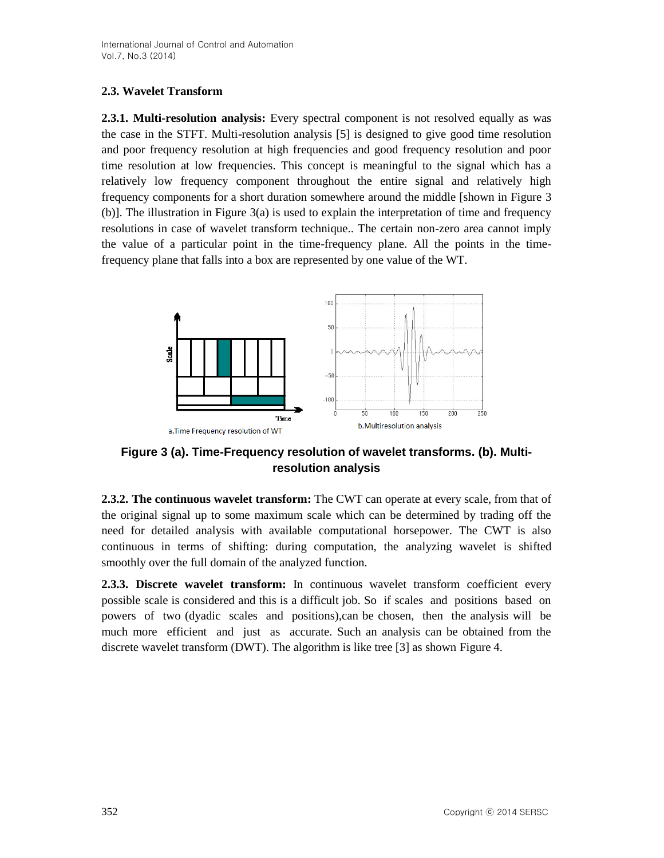### **2.3. Wavelet Transform**

**2.3.1. Multi-resolution analysis:** Every spectral component is not resolved equally as was the case in the STFT. Multi-resolution analysis [5] is designed to give good time resolution and poor frequency resolution at high frequencies and good frequency resolution and poor time resolution at low frequencies. This concept is meaningful to the signal which has a relatively low frequency component throughout the entire signal and relatively high frequency components for a short duration somewhere around the middle [shown in Figure 3 (b)]. The illustration in Figure 3(a) is used to explain the interpretation of time and frequency resolutions in case of wavelet transform technique.. The certain non-zero area cannot imply the value of a particular point in the time-frequency plane. All the points in the timefrequency plane that falls into a box are represented by one value of the WT.



**Figure 3 (a). Time-Frequency resolution of wavelet transforms. (b). Multiresolution analysis**

**2.3.2. The continuous wavelet transform:** The CWT can operate at every scale, from that of the original signal up to some maximum scale which can be determined by trading off the need for detailed analysis with available computational horsepower. The CWT is also continuous in terms of shifting: during computation, the analyzing wavelet is shifted smoothly over the full domain of the analyzed function.

**2.3.3. Discrete wavelet transform:** In continuous wavelet transform coefficient every possible scale is considered and this is a difficult job. So if scales and positions based on powers of two (dyadic scales and positions),can be chosen, then the analysis will be much more efficient and just as accurate. Such an analysis can be obtained from the discrete wavelet transform (DWT). The algorithm is like tree [3] as shown Figure 4.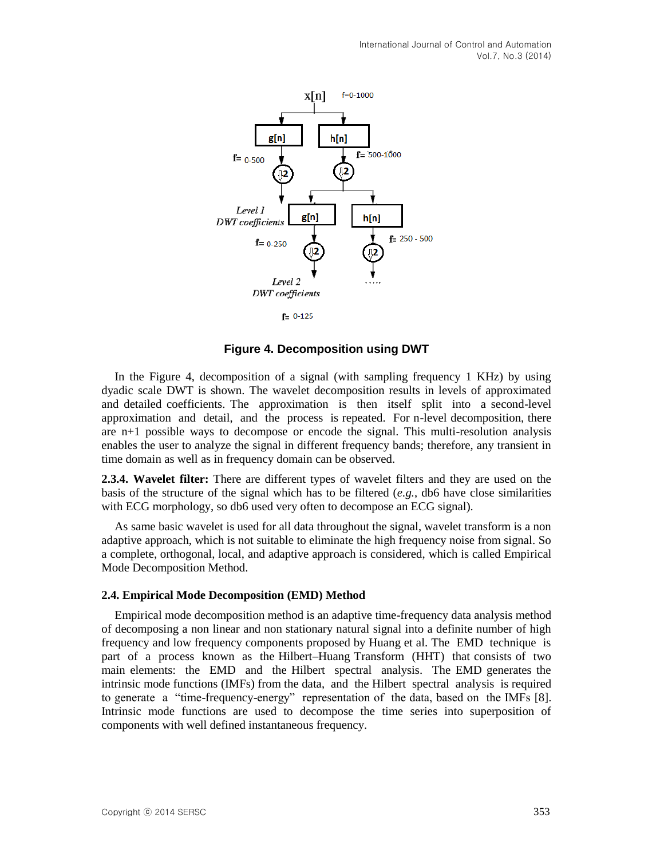

**Figure 4. Decomposition using DWT**

In the Figure 4, decomposition of a signal (with sampling frequency 1 KHz) by using dyadic scale DWT is shown. The wavelet decomposition results in levels of approximated and detailed coefficients. The approximation is then itself split into a second-level approximation and detail, and the process is repeated. For n-level decomposition, there are n+1 possible ways to decompose or encode the signal. This multi-resolution analysis enables the user to analyze the signal in different frequency bands; therefore, any transient in time domain as well as in frequency domain can be observed.

**2.3.4. Wavelet filter:** There are different types of wavelet filters and they are used on the basis of the structure of the signal which has to be filtered (*e.g.*, db6 have close similarities with ECG morphology, so db6 used very often to decompose an ECG signal).

As same basic wavelet is used for all data throughout the signal, wavelet transform is a non adaptive approach, which is not suitable to eliminate the high frequency noise from signal. So a complete, orthogonal, local, and adaptive approach is considered, which is called Empirical Mode Decomposition Method.

#### **2.4. Empirical Mode Decomposition (EMD) Method**

Empirical mode decomposition method is an adaptive time-frequency data analysis method of decomposing a non linear and non stationary natural signal into a definite number of high frequency and low frequency components proposed by Huang et al. The EMD technique is part of a process known as the Hilbert–Huang Transform (HHT) that consists of two main elements: the EMD and the Hilbert spectral analysis. The EMD generates the intrinsic mode functions (IMFs) from the data, and the Hilbert spectral analysis is required to generate a "time-frequency-energy" representation of the data, based on the IMFs [8]. Intrinsic mode functions are used to decompose the time series into superposition of components with well defined instantaneous frequency.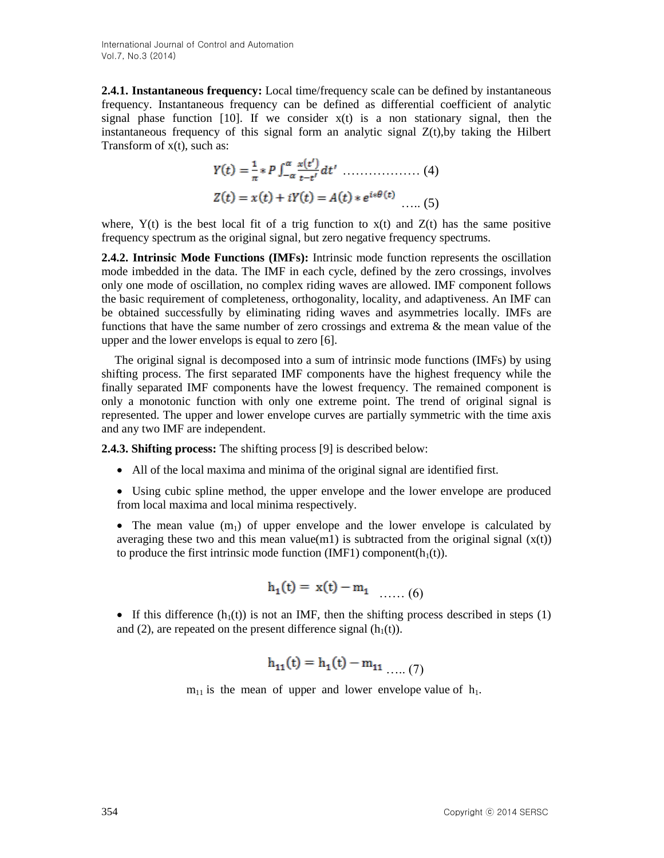**2.4.1. Instantaneous frequency:** Local time/frequency scale can be defined by instantaneous frequency. Instantaneous frequency can be defined as differential coefficient of analytic signal phase function [10]. If we consider  $x(t)$  is a non stationary signal, then the instantaneous frequency of this signal form an analytic signal Z(t),by taking the Hilbert Transform of x(t), such as:

 ……………… (4) ….. (5)

where,  $Y(t)$  is the best local fit of a trig function to  $x(t)$  and  $Z(t)$  has the same positive frequency spectrum as the original signal, but zero negative frequency spectrums.

**2.4.2. Intrinsic Mode Functions (IMFs):** Intrinsic mode function represents the oscillation mode imbedded in the data. The IMF in each cycle, defined by the zero crossings, involves only one mode of oscillation, no complex riding waves are allowed. IMF component follows the basic requirement of completeness, orthogonality, locality, and adaptiveness. An IMF can be obtained successfully by eliminating riding waves and asymmetries locally. IMFs are functions that have the same number of zero crossings and extrema  $\&$  the mean value of the upper and the lower envelops is equal to zero [6].

The original signal is decomposed into a sum of intrinsic mode functions (IMFs) by using shifting process. The first separated IMF components have the highest frequency while the finally separated IMF components have the lowest frequency. The remained component is only a monotonic function with only one extreme point. The trend of original signal is represented. The upper and lower envelope curves are partially symmetric with the time axis and any two IMF are independent.

**2.4.3. Shifting process:** The shifting process [9] is described below:

All of the local maxima and minima of the original signal are identified first.

 Using cubic spline method, the upper envelope and the lower envelope are produced from local maxima and local minima respectively.

• The mean value  $(m_1)$  of upper envelope and the lower envelope is calculated by averaging these two and this mean value(m1) is subtracted from the original signal  $(x(t))$ to produce the first intrinsic mode function (IMF1) component( $h_1(t)$ ).

$$
h_1(t) = x(t) - m_1 \dots (6)
$$

If this difference  $(h_1(t))$  is not an IMF, then the shifting process described in steps (1) and (2), are repeated on the present difference signal  $(h_1(t))$ .

$$
h_{11}(t) = h_1(t) - m_{11} \dots (7)
$$

 $m_{11}$  is the mean of upper and lower envelope value of  $h_1$ .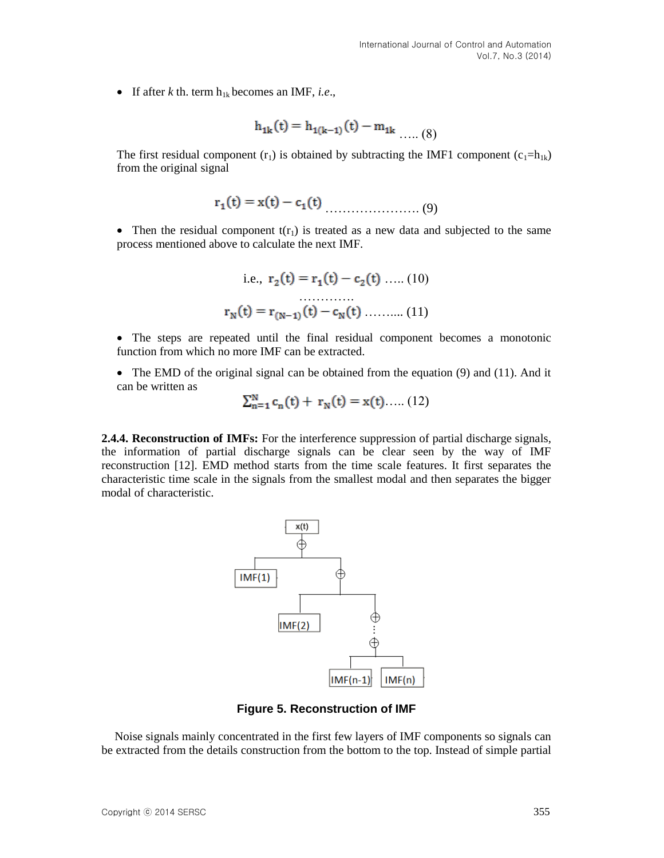If after  $k$  th. term  $h_{1k}$  becomes an IMF, *i.e.*,

$$
h_{1k}(t) = h_{1(k-1)}(t) - m_{1k} \dots (8)
$$

The first residual component  $(r_1)$  is obtained by subtracting the IMF1 component  $(c_1=h_{1k})$ from the original signal

$$
r_1(t) = x(t) - c_1(t) \tag{9}
$$

• Then the residual component  $t(r_1)$  is treated as a new data and subjected to the same process mentioned above to calculate the next IMF.

i.e., 
$$
r_2(t) = r_1(t) - c_2(t)
$$
 .... (10)  
 $r_N(t) = r_{(N-1)}(t) - c_N(t)$  .... (11)

- The steps are repeated until the final residual component becomes a monotonic function from which no more IMF can be extracted.
- $\bullet$  The EMD of the original signal can be obtained from the equation (9) and (11). And it can be written as

$$
\sum_{n=1}^{N} c_n(t) + r_N(t) = x(t) \dots (12)
$$

**2.4.4. Reconstruction of IMFs:** For the interference suppression of partial discharge signals, the information of partial discharge signals can be clear seen by the way of IMF reconstruction [12]. EMD method starts from the time scale features. It first separates the characteristic time scale in the signals from the smallest modal and then separates the bigger modal of characteristic.



**Figure 5. Reconstruction of IMF**

Noise signals mainly concentrated in the first few layers of IMF components so signals can be extracted from the details construction from the bottom to the top. Instead of simple partial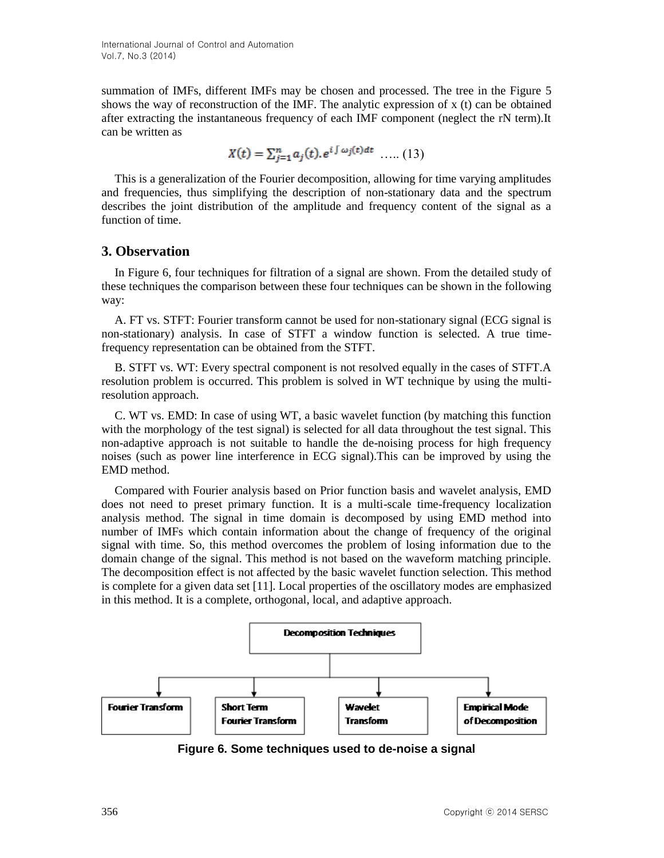summation of IMFs, different IMFs may be chosen and processed. The tree in the Figure 5 shows the way of reconstruction of the IMF. The analytic expression of  $x(t)$  can be obtained after extracting the instantaneous frequency of each IMF component (neglect the rN term).It can be written as

$$
X(t) = \sum_{i=1}^{n} a_i(t), e^{i \int \omega_j(t) dt} \dots (13)
$$

This is a generalization of the Fourier decomposition, allowing for time varying amplitudes and frequencies, thus simplifying the description of non-stationary data and the spectrum describes the joint distribution of the amplitude and frequency content of the signal as a function of time.

### **3. Observation**

In Figure 6, four techniques for filtration of a signal are shown. From the detailed study of these techniques the comparison between these four techniques can be shown in the following way:

A. FT vs. STFT: Fourier transform cannot be used for non-stationary signal (ECG signal is non-stationary) analysis. In case of STFT a window function is selected. A true timefrequency representation can be obtained from the STFT.

B. STFT vs. WT: Every spectral component is not resolved equally in the cases of STFT.A resolution problem is occurred. This problem is solved in WT technique by using the multiresolution approach.

C. WT vs. EMD: In case of using WT, a basic wavelet function (by matching this function with the morphology of the test signal) is selected for all data throughout the test signal. This non-adaptive approach is not suitable to handle the de-noising process for high frequency noises (such as power line interference in ECG signal).This can be improved by using the EMD method.

Compared with Fourier analysis based on Prior function basis and wavelet analysis, EMD does not need to preset primary function. It is a multi-scale time-frequency localization analysis method. The signal in time domain is decomposed by using EMD method into number of IMFs which contain information about the change of frequency of the original signal with time. So, this method overcomes the problem of losing information due to the domain change of the signal. This method is not based on the waveform matching principle. The decomposition effect is not affected by the basic wavelet function selection. This method is complete for a given data set [11]. Local properties of the oscillatory modes are emphasized in this method. It is a complete, orthogonal, local, and adaptive approach.



**Figure 6. Some techniques used to de-noise a signal**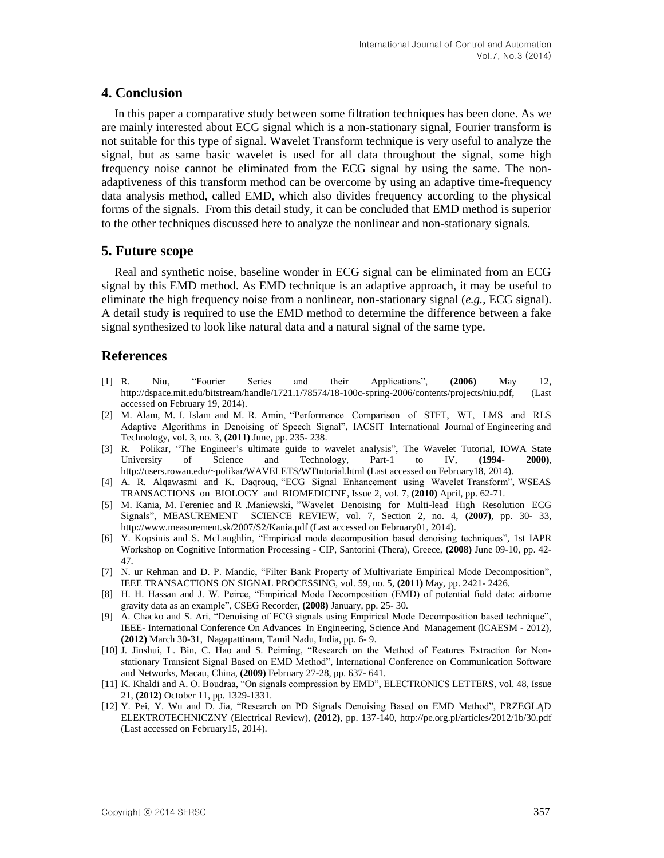### **4. Conclusion**

In this paper a comparative study between some filtration techniques has been done. As we are mainly interested about ECG signal which is a non-stationary signal, Fourier transform is not suitable for this type of signal. Wavelet Transform technique is very useful to analyze the signal, but as same basic wavelet is used for all data throughout the signal, some high frequency noise cannot be eliminated from the ECG signal by using the same. The nonadaptiveness of this transform method can be overcome by using an adaptive time-frequency data analysis method, called EMD, which also divides frequency according to the physical forms of the signals. From this detail study, it can be concluded that EMD method is superior to the other techniques discussed here to analyze the nonlinear and non-stationary signals.

### **5. Future scope**

Real and synthetic noise, baseline wonder in ECG signal can be eliminated from an ECG signal by this EMD method. As EMD technique is an adaptive approach, it may be useful to eliminate the high frequency noise from a nonlinear, non-stationary signal (*e.g.*, ECG signal). A detail study is required to use the EMD method to determine the difference between a fake signal synthesized to look like natural data and a natural signal of the same type.

### **References**

- [1] R. Niu, "Fourier Series and their Applications", **(2006)** May 12, http://dspace.mit.edu/bitstream/handle/1721.1/78574/18-100c-spring-2006/contents/projects/niu.pdf, (Last accessed on February 19, 2014).
- [2] M. Alam, M. I. Islam and M. R. Amin, "Performance Comparison of STFT, WT, LMS and RLS Adaptive Algorithms in Denoising of Speech Signal", IACSIT International Journal of Engineering and Technology, vol. 3, no. 3, **(2011)** June, pp. 235- 238.
- [3] R. Polikar, "The Engineer's ultimate guide to wavelet analysis", The Wavelet Tutorial, IOWA State University of Science and Technology, Part-1 to IV, **(1994- 2000)**, http://users.rowan.edu/~polikar/WAVELETS/WTtutorial.html (Last accessed on February18, 2014).
- [4] A. R. Alqawasmi and K. Daqrouq, "ECG Signal Enhancement using Wavelet Transform", WSEAS TRANSACTIONS on BIOLOGY and BIOMEDICINE, Issue 2, vol. 7, **(2010)** April, pp. 62-71.
- [5] M. Kania, M. Fereniec and R .Maniewski, "Wavelet Denoising for Multi-lead High Resolution ECG Signals", MEASUREMENT SCIENCE REVIEW, vol. 7, Section 2, no. 4, **(2007)**, pp. 30- 33, http://www.measurement.sk/2007/S2/Kania.pdf (Last accessed on February01, 2014).
- [6] Y. Kopsinis and S. McLaughlin, "Empirical mode decomposition based denoising techniques", 1st IAPR Workshop on Cognitive Information Processing - CIP, Santorini (Thera), Greece, **(2008)** June 09-10, pp. 42- 47.
- [7] N. ur Rehman and D. P. Mandic, "Filter Bank Property of Multivariate Empirical Mode Decomposition", IEEE TRANSACTIONS ON SIGNAL PROCESSING, vol. 59, no. 5, **(2011)** May, pp. 2421- 2426.
- [8] H. H. Hassan and J. W. Peirce, "Empirical Mode Decomposition (EMD) of potential field data: airborne gravity data as an example", CSEG Recorder, **(2008)** January, pp. 25- 30.
- [9] A. Chacko and S. Ari, "Denoising of ECG signals using Empirical Mode Decomposition based technique", IEEE- International Conference On Advances In Engineering, Science And Management (lCAESM - 2012), **(2012)** March 30-31, Nagapattinam, Tamil Nadu, India, pp. 6- 9.
- [10] J. Jinshui, L. Bin, C. Hao and S. Peiming, "Research on the Method of Features Extraction for Nonstationary Transient Signal Based on EMD Method", International Conference on Communication Software and Networks, Macau, China, **(2009)** February 27-28, pp. 637- 641.
- [11] K. Khaldi and A. O. Boudraa, "On signals compression by EMD", ELECTRONICS LETTERS, vol. 48, Issue 21, **(2012)** October 11, pp. 1329-1331.
- [12] Y. Pei, Y. Wu and D. Jia, "Research on PD Signals Denoising Based on EMD Method", PRZEGLĄD ELEKTROTECHNICZNY (Electrical Review), **(2012)**, pp. 137-140, http://pe.org.pl/articles/2012/1b/30.pdf (Last accessed on February15, 2014).